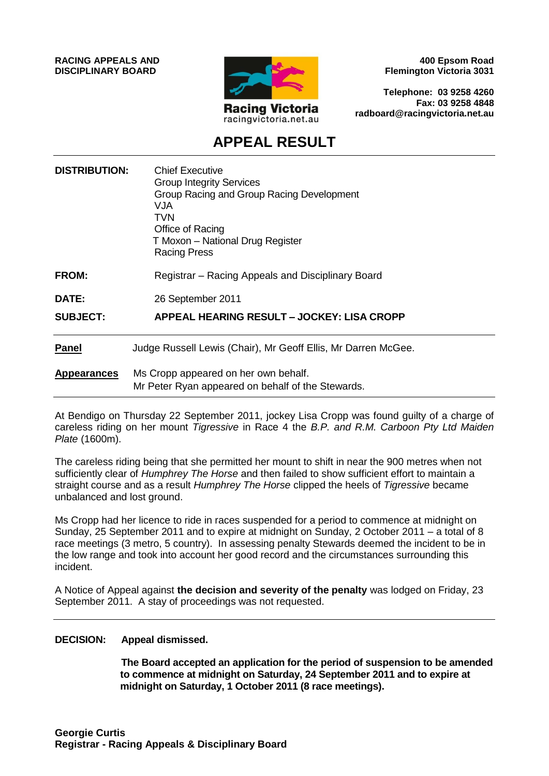**RACING APPEALS AND DISCIPLINARY BOARD**



**400 Epsom Road Flemington Victoria 3031**

**Telephone: 03 9258 4260 Fax: 03 9258 4848 radboard@racingvictoria.net.au**

## **APPEAL RESULT**

| <b>DISTRIBUTION:</b> | <b>Chief Executive</b><br><b>Group Integrity Services</b><br>Group Racing and Group Racing Development<br>VJA<br><b>TVN</b><br>Office of Racing<br>T Moxon - National Drug Register<br><b>Racing Press</b> |
|----------------------|------------------------------------------------------------------------------------------------------------------------------------------------------------------------------------------------------------|
| <b>FROM:</b>         | Registrar – Racing Appeals and Disciplinary Board                                                                                                                                                          |
| <b>DATE:</b>         | 26 September 2011                                                                                                                                                                                          |
| <b>SUBJECT:</b>      | APPEAL HEARING RESULT – JOCKEY: LISA CROPP                                                                                                                                                                 |
| <b>Panel</b>         | Judge Russell Lewis (Chair), Mr Geoff Ellis, Mr Darren McGee.                                                                                                                                              |
| <b>Appearances</b>   | Ms Cropp appeared on her own behalf.<br>Mr Peter Ryan appeared on behalf of the Stewards.                                                                                                                  |

At Bendigo on Thursday 22 September 2011, jockey Lisa Cropp was found guilty of a charge of careless riding on her mount *Tigressive* in Race 4 the *B.P. and R.M. Carboon Pty Ltd Maiden Plate* (1600m).

The careless riding being that she permitted her mount to shift in near the 900 metres when not sufficiently clear of *Humphrey The Horse* and then failed to show sufficient effort to maintain a straight course and as a result *Humphrey The Horse* clipped the heels of *Tigressive* became unbalanced and lost ground.

Ms Cropp had her licence to ride in races suspended for a period to commence at midnight on Sunday, 25 September 2011 and to expire at midnight on Sunday, 2 October 2011 – a total of 8 race meetings (3 metro, 5 country). In assessing penalty Stewards deemed the incident to be in the low range and took into account her good record and the circumstances surrounding this incident.

A Notice of Appeal against **the decision and severity of the penalty** was lodged on Friday, 23 September 2011. A stay of proceedings was not requested.

#### **DECISION: Appeal dismissed.**

**The Board accepted an application for the period of suspension to be amended to commence at midnight on Saturday, 24 September 2011 and to expire at midnight on Saturday, 1 October 2011 (8 race meetings).**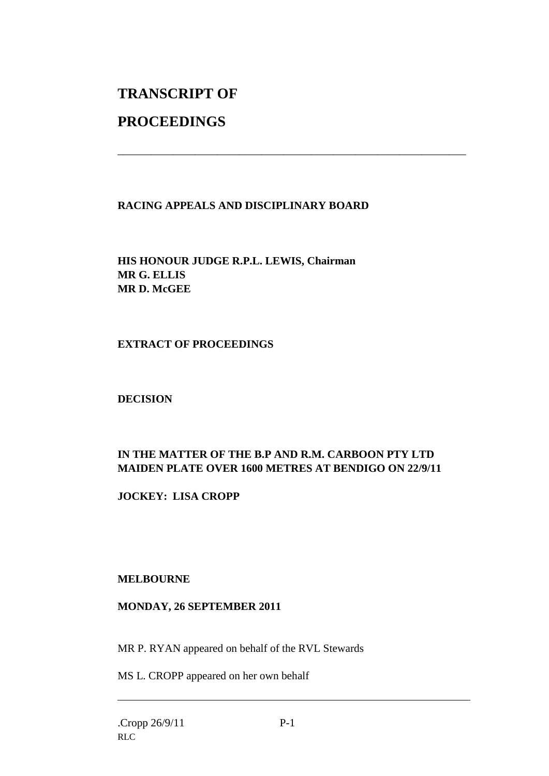# **TRANSCRIPT OF**

## **PROCEEDINGS**

### **RACING APPEALS AND DISCIPLINARY BOARD**

\_\_\_\_\_\_\_\_\_\_\_\_\_\_\_\_\_\_\_\_\_\_\_\_\_\_\_\_\_\_\_\_\_\_\_\_\_\_\_\_\_\_\_\_\_\_\_\_\_\_\_\_\_\_\_\_\_\_\_\_\_\_\_

**HIS HONOUR JUDGE R.P.L. LEWIS, Chairman MR G. ELLIS MR D. McGEE**

#### **EXTRACT OF PROCEEDINGS**

**DECISION**

### **IN THE MATTER OF THE B.P AND R.M. CARBOON PTY LTD MAIDEN PLATE OVER 1600 METRES AT BENDIGO ON 22/9/11**

**JOCKEY: LISA CROPP**

#### **MELBOURNE**

#### **MONDAY, 26 SEPTEMBER 2011**

MR P. RYAN appeared on behalf of the RVL Stewards

MS L. CROPP appeared on her own behalf